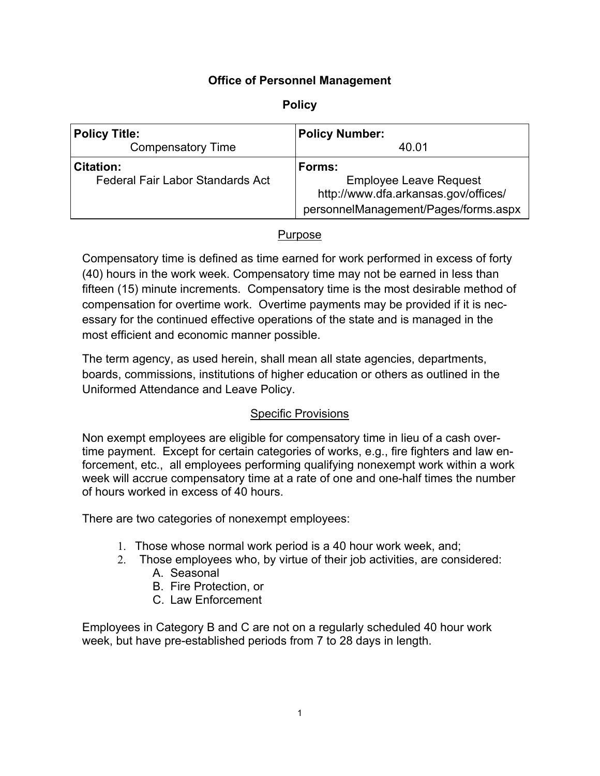## **Office of Personnel Management**

| <b>Policy Title:</b>                    | <b>Policy Number:</b>                                                                                         |
|-----------------------------------------|---------------------------------------------------------------------------------------------------------------|
| <b>Compensatory Time</b>                | 40.01                                                                                                         |
| <b>Citation:</b>                        | Forms:                                                                                                        |
| <b>Federal Fair Labor Standards Act</b> | <b>Employee Leave Request</b><br>http://www.dfa.arkansas.gov/offices/<br>personnelManagement/Pages/forms.aspx |

## Purpose

Compensatory time is defined as time earned for work performed in excess of forty (40) hours in the work week. Compensatory time may not be earned in less than fifteen (15) minute increments. Compensatory time is the most desirable method of compensation for overtime work. Overtime payments may be provided if it is necessary for the continued effective operations of the state and is managed in the most efficient and economic manner possible.

The term agency, as used herein, shall mean all state agencies, departments, boards, commissions, institutions of higher education or others as outlined in the Uniformed Attendance and Leave Policy.

## Specific Provisions

Non exempt employees are eligible for compensatory time in lieu of a cash overtime payment. Except for certain categories of works, e.g., fire fighters and law enforcement, etc., all employees performing qualifying nonexempt work within a work week will accrue compensatory time at a rate of one and one-half times the number of hours worked in excess of 40 hours.

There are two categories of nonexempt employees:

- 1. Those whose normal work period is a 40 hour work week, and;
- 2. Those employees who, by virtue of their job activities, are considered: A. Seasonal
	- B. Fire Protection, or
	- C. Law Enforcement

Employees in Category B and C are not on a regularly scheduled 40 hour work week, but have pre-established periods from 7 to 28 days in length.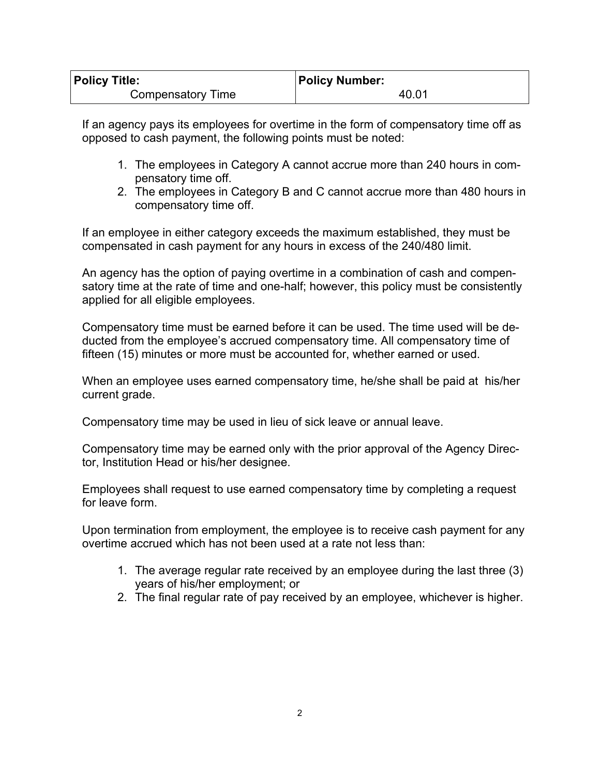| <b>Policy Title:</b> | <b>Policy Number:</b> |
|----------------------|-----------------------|
| Compensatory Time    | 40.01                 |

If an agency pays its employees for overtime in the form of compensatory time off as opposed to cash payment, the following points must be noted:

- 1. The employees in Category A cannot accrue more than 240 hours in compensatory time off.
- 2. The employees in Category B and C cannot accrue more than 480 hours in compensatory time off.

If an employee in either category exceeds the maximum established, they must be compensated in cash payment for any hours in excess of the 240/480 limit.

An agency has the option of paying overtime in a combination of cash and compensatory time at the rate of time and one-half; however, this policy must be consistently applied for all eligible employees.

Compensatory time must be earned before it can be used. The time used will be deducted from the employee's accrued compensatory time. All compensatory time of fifteen (15) minutes or more must be accounted for, whether earned or used.

When an employee uses earned compensatory time, he/she shall be paid at his/her current grade.

Compensatory time may be used in lieu of sick leave or annual leave.

Compensatory time may be earned only with the prior approval of the Agency Director, Institution Head or his/her designee.

Employees shall request to use earned compensatory time by completing a request for leave form.

Upon termination from employment, the employee is to receive cash payment for any overtime accrued which has not been used at a rate not less than:

- 1. The average regular rate received by an employee during the last three (3) years of his/her employment; or
- 2. The final regular rate of pay received by an employee, whichever is higher.